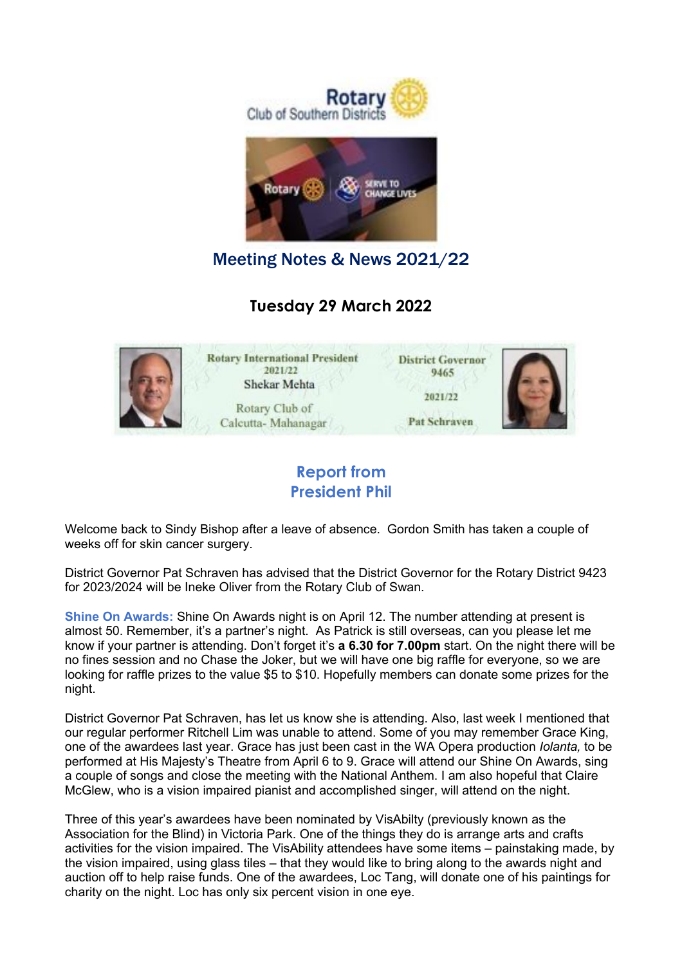

Meeting Notes & News 2021/22

### **Tuesday 29 March 2022**



#### **Report from President Phil**

Welcome back to Sindy Bishop after a leave of absence. Gordon Smith has taken a couple of weeks off for skin cancer surgery.

District Governor Pat Schraven has advised that the District Governor for the Rotary District 9423 for 2023/2024 will be Ineke Oliver from the Rotary Club of Swan.

**Shine On Awards:** Shine On Awards night is on April 12. The number attending at present is almost 50. Remember, it's a partner's night. As Patrick is still overseas, can you please let me know if your partner is attending. Don't forget it's **a 6.30 for 7.00pm** start. On the night there will be no fines session and no Chase the Joker, but we will have one big raffle for everyone, so we are looking for raffle prizes to the value \$5 to \$10. Hopefully members can donate some prizes for the night.

District Governor Pat Schraven, has let us know she is attending. Also, last week I mentioned that our regular performer Ritchell Lim was unable to attend. Some of you may remember Grace King, one of the awardees last year. Grace has just been cast in the WA Opera production *Iolanta,* to be performed at His Majesty's Theatre from April 6 to 9. Grace will attend our Shine On Awards, sing a couple of songs and close the meeting with the National Anthem. I am also hopeful that Claire McGlew, who is a vision impaired pianist and accomplished singer, will attend on the night.

Three of this year's awardees have been nominated by VisAbilty (previously known as the Association for the Blind) in Victoria Park. One of the things they do is arrange arts and crafts activities for the vision impaired. The VisAbility attendees have some items – painstaking made, by the vision impaired, using glass tiles – that they would like to bring along to the awards night and auction off to help raise funds. One of the awardees, Loc Tang, will donate one of his paintings for charity on the night. Loc has only six percent vision in one eye.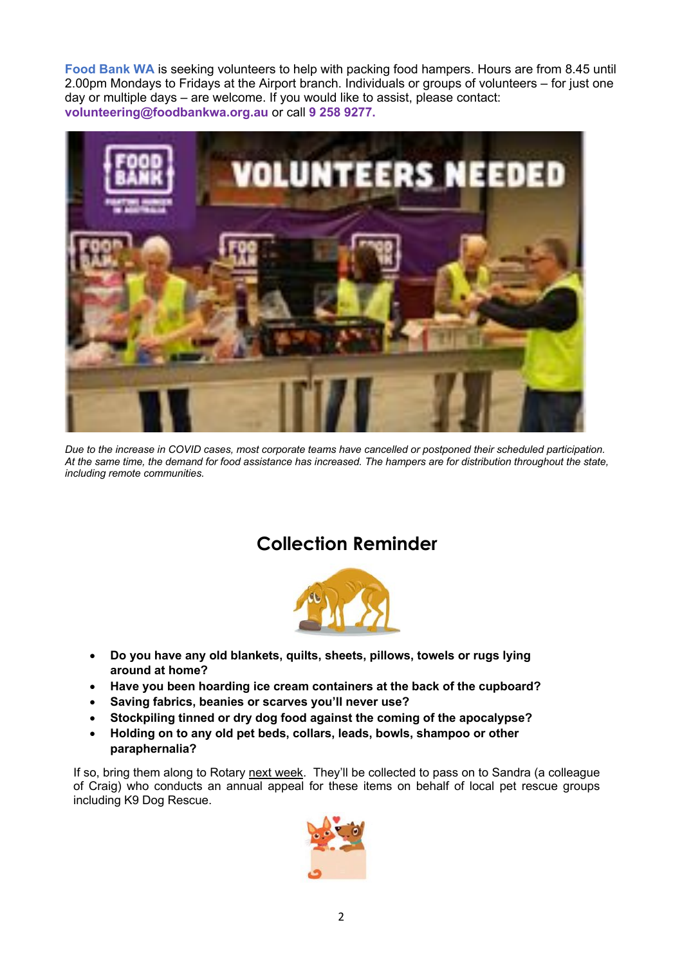**Food Bank WA** is seeking volunteers to help with packing food hampers. Hours are from 8.45 until 2.00pm Mondays to Fridays at the Airport branch. Individuals or groups of volunteers – for just one day or multiple days – are welcome. If you would like to assist, please contact: **volunteering@foodbankwa.org.au** or call **9 258 9277.**



*Due to the increase in COVID cases, most corporate teams have cancelled or postponed their scheduled participation. At the same time, the demand for food assistance has increased. The hampers are for distribution throughout the state, including remote communities.* 

# **Collection Reminder**



- **Do you have any old blankets, quilts, sheets, pillows, towels or rugs lying around at home?**
- **Have you been hoarding ice cream containers at the back of the cupboard?**
- **Saving fabrics, beanies or scarves you'll never use?**
- **Stockpiling tinned or dry dog food against the coming of the apocalypse?**
- **Holding on to any old pet beds, collars, leads, bowls, shampoo or other paraphernalia?**

If so, bring them along to Rotary next week. They'll be collected to pass on to Sandra (a colleague of Craig) who conducts an annual appeal for these items on behalf of local pet rescue groups including K9 Dog Rescue.

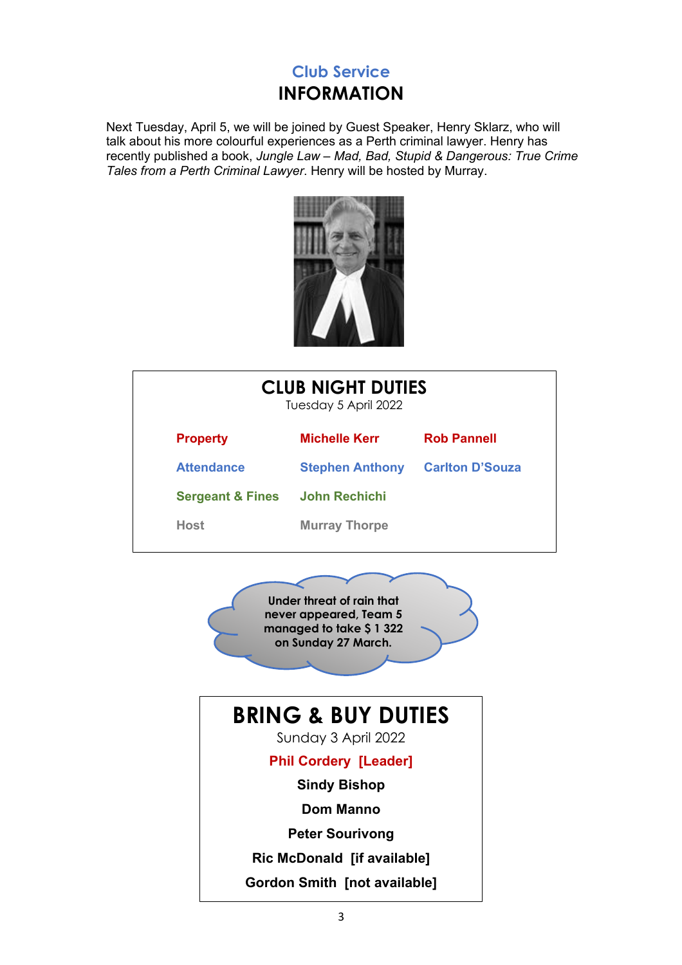## **Club Service INFORMATION**

Next Tuesday, April 5, we will be joined by Guest Speaker, Henry Sklarz, who will talk about his more colourful experiences as a Perth criminal lawyer. Henry has recently published a book, *Jungle Law – Mad, Bad, Stupid & Dangerous: True Crime Tales from a Perth Criminal Lawyer*. Henry will be hosted by Murray.



| <b>CLUB NIGHT DUTIES</b><br>Tuesday 5 April 2022 |                        |                        |  |
|--------------------------------------------------|------------------------|------------------------|--|
| <b>Property</b>                                  | <b>Michelle Kerr</b>   | <b>Rob Pannell</b>     |  |
| <b>Attendance</b>                                | <b>Stephen Anthony</b> | <b>Carlton D'Souza</b> |  |
| <b>Sergeant &amp; Fines</b>                      | <b>John Rechichi</b>   |                        |  |
| Host                                             | <b>Murray Thorpe</b>   |                        |  |
|                                                  |                        |                        |  |

**Under threat of rain that never appeared, Team 5 managed to take \$ 1 322 on Sunday 27 March.**

# **BRING & BUY DUTIES**

Sunday 3 April 2022

#### **Phil Cordery [Leader]**

**Sindy Bishop**

**Dom Manno**

**Peter Sourivong**

**Ric McDonald [if available]**

**Gordon Smith [not available]**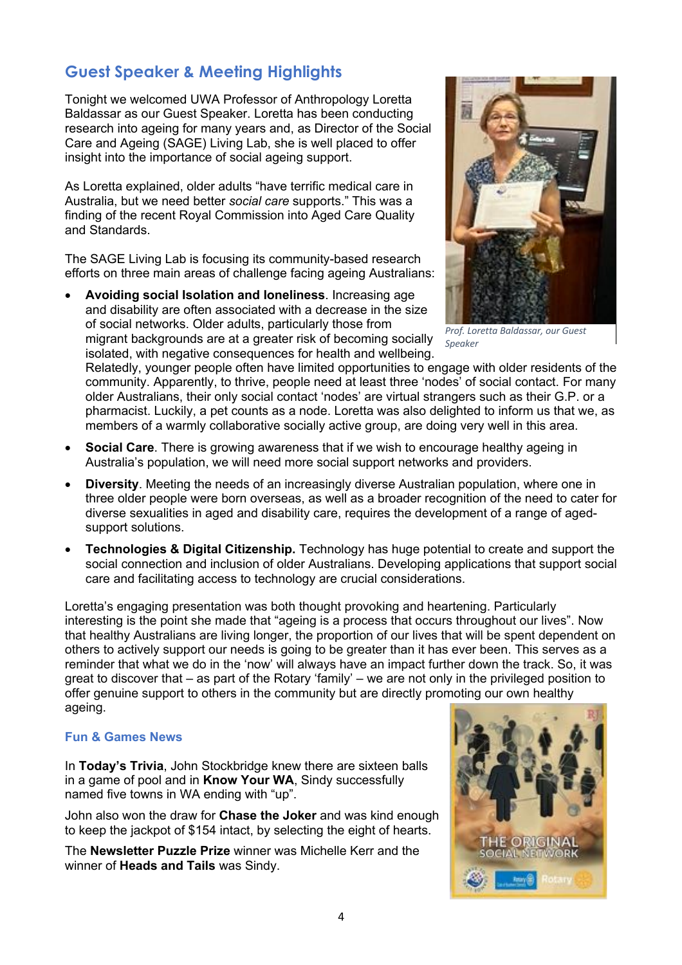### **Guest Speaker & Meeting Highlights**

Tonight we welcomed UWA Professor of Anthropology Loretta Baldassar as our Guest Speaker. Loretta has been conducting research into ageing for many years and, as Director of the Social Care and Ageing (SAGE) Living Lab, she is well placed to offer insight into the importance of social ageing support.

As Loretta explained, older adults "have terrific medical care in Australia, but we need better *social care* supports." This was a finding of the recent Royal Commission into Aged Care Quality and Standards.

The SAGE Living Lab is focusing its community-based research efforts on three main areas of challenge facing ageing Australians:

• **Avoiding social Isolation and loneliness**. Increasing age and disability are often associated with a decrease in the size of social networks. Older adults, particularly those from migrant backgrounds are at a greater risk of becoming socially isolated, with negative consequences for health and wellbeing.



*Prof. Loretta Baldassar, our Guest Speaker*

Relatedly, younger people often have limited opportunities to engage with older residents of the community. Apparently, to thrive, people need at least three 'nodes' of social contact. For many older Australians, their only social contact 'nodes' are virtual strangers such as their G.P. or a pharmacist. Luckily, a pet counts as a node. Loretta was also delighted to inform us that we, as members of a warmly collaborative socially active group, are doing very well in this area.

- **Social Care**. There is growing awareness that if we wish to encourage healthy ageing in Australia's population, we will need more social support networks and providers.
- **Diversity**. Meeting the needs of an increasingly diverse Australian population, where one in three older people were born overseas, as well as a broader recognition of the need to cater for diverse sexualities in aged and disability care, requires the development of a range of agedsupport solutions.
- **Technologies & Digital Citizenship.** Technology has huge potential to create and support the social connection and inclusion of older Australians. Developing applications that support social care and facilitating access to technology are crucial considerations.

Loretta's engaging presentation was both thought provoking and heartening. Particularly interesting is the point she made that "ageing is a process that occurs throughout our lives". Now that healthy Australians are living longer, the proportion of our lives that will be spent dependent on others to actively support our needs is going to be greater than it has ever been. This serves as a reminder that what we do in the 'now' will always have an impact further down the track. So, it was great to discover that – as part of the Rotary 'family' – we are not only in the privileged position to offer genuine support to others in the community but are directly promoting our own healthy ageing.

#### **Fun & Games News**

In **Today's Trivia**, John Stockbridge knew there are sixteen balls in a game of pool and in **Know Your WA**, Sindy successfully named five towns in WA ending with "up".

John also won the draw for **Chase the Joker** and was kind enough to keep the jackpot of \$154 intact, by selecting the eight of hearts.

The **Newsletter Puzzle Prize** winner was Michelle Kerr and the winner of **Heads and Tails** was Sindy.

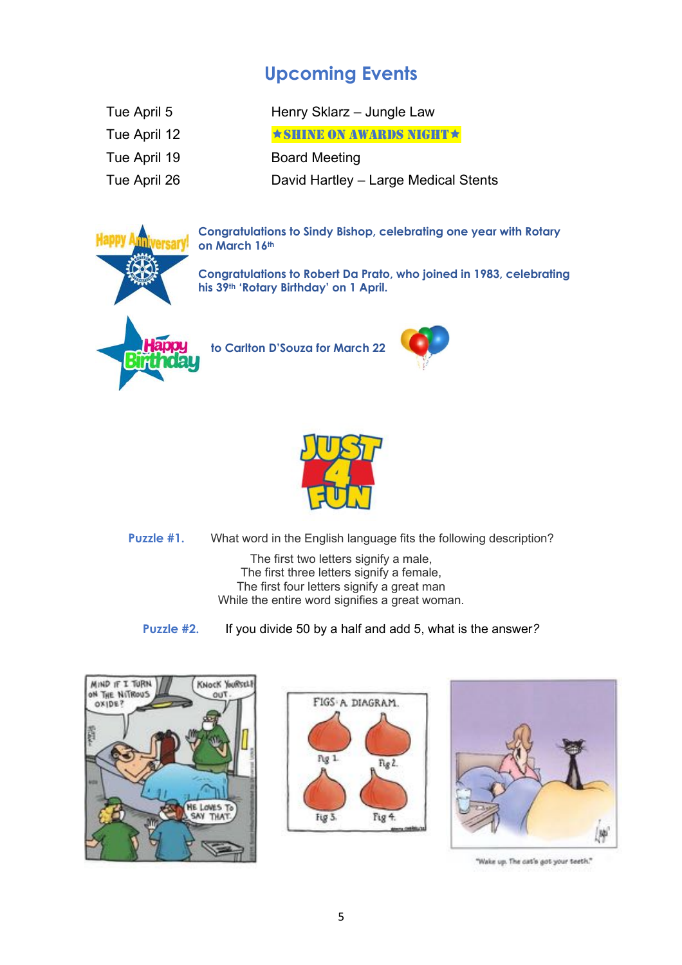# **Upcoming Events**

| Tue April 5  | Henry Sklarz - Jungle Law             |  |
|--------------|---------------------------------------|--|
| Tue April 12 | $\star$ SHINE ON AWARDS NIGHT $\star$ |  |
| Tue April 19 | <b>Board Meeting</b>                  |  |
| Tue April 26 | David Hartley - Large Medical Stents  |  |
|              |                                       |  |

**Congratulations to Sindy Bishop, celebrating one year with Rotary on March 16th**

**Congratulations to Robert Da Prato, who joined in 1983, celebrating his 39th 'Rotary Birthday' on 1 April.**



**to Carlton D'Souza for March 22**





**Puzzle #1.** What word in the English language fits the following description?

The first two letters signify a male. The first three letters signify a female, The first four letters signify a great man While the entire word signifies a great woman.

**Puzzle #2.** If you divide 50 by a half and add 5, what is the answer*?*







"Wake up. The cat's got your teeth."